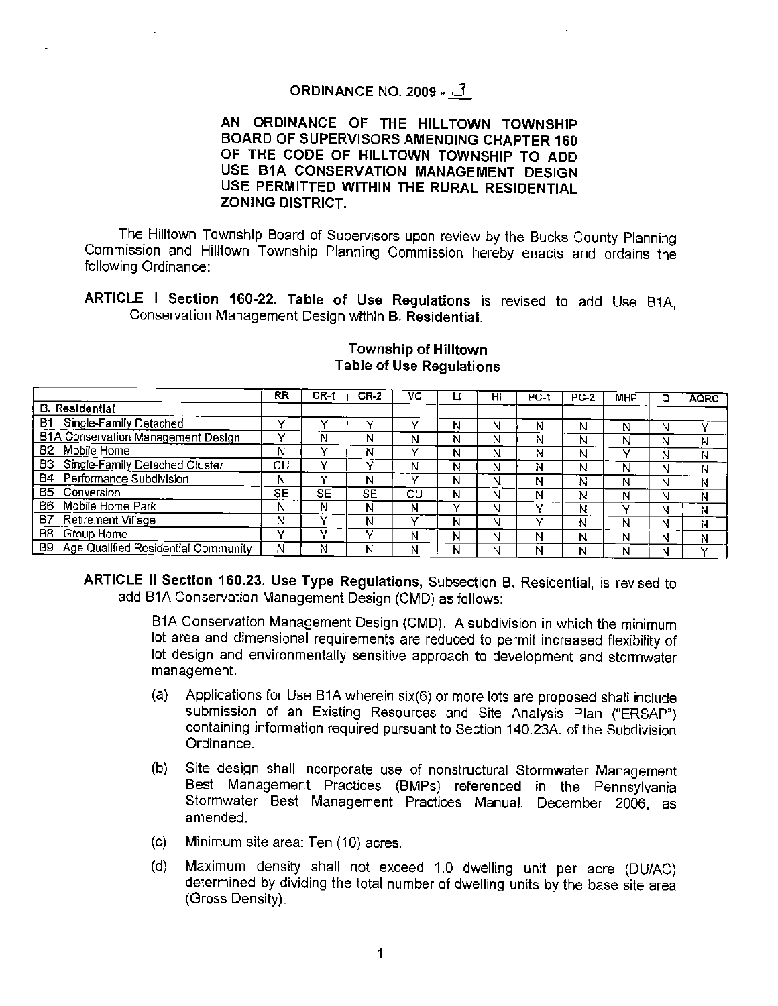# **ORDINANCE NO. 2009** • **J**

## AN ORDINANCE OF THE HILLTOWN TOWNSHIP **BOARD OF SUPERVISORS AMENDING CHAPTER 160**  OF THE CODE OF HILLTOWN TOWNSHIP TO ADD **USE 81A CONSERVATION MANAGEMENT DESIGN USE PERMITTED WITHIN THE RURAL RESIDENTIAL ZONING DISTRICT.**

The Hilltown Township Board of Supervisors upon review by the Bucks County Planning Commission and Hilltown Township Planning Commission hereby enacts and ordains the following Ordinance:

**ARTICLE** I **Section 160-22. Table of Use Regulations** is revised to add Use B1A, Conservation Management Design within **B. Residential.** 

|                                           | RR | CR-1 | $CR-2$ | vc |   | Н١ | PC-1 | $PC-2$ | <b>MHP</b> | Q | <b>AQRC</b> |
|-------------------------------------------|----|------|--------|----|---|----|------|--------|------------|---|-------------|
| <b>B.</b> Residential                     |    |      |        |    |   |    |      |        |            |   |             |
| B1 Single-Family Detached                 |    | v    |        |    | N | Ν  | N    | N      | N          | Ν |             |
| <b>B1A Conservation Management Design</b> |    | Ν    | Ν      | N  | Ν | N  | N    | N      | N          | N | Ν           |
| 82.<br>Mobile Home                        | Ν  |      | N      |    | N | N  | Ν    | N      | v          | Ν | N           |
| B3<br>Single-Family Detached Cluster      | СL | v    |        | N  | N | N  | N    | N      | N          | N | N           |
| Performance Subdivision<br>84             | Ν  |      | Ν      |    | Ν | N  | N    | N      | Ν          | Ν | Ν           |
| B5.<br>Conversion                         | SE | SE   | SE     | СU | N | N  | N    | N      | Ν          | Ν | Ν           |
| Mobile Home Park<br>B6.                   | N  | Ν    | N      | N  |   | N  |      | Ν      | v          | N | Ν           |
| B7<br>Retirement Village                  | Ν  |      | Ν      |    | Ν | Ν  |      | N      | N          | Ν | N           |
| B8<br>Group Home                          |    |      |        | Ν  | N | Ν  | N    | N      | Ν          | Ν | N           |
| B9 Age Qualified Residential Community    | N  | N    | N      | Ν  | Ν | N  | N    | N      | N          | N |             |

#### **Township of Hilltown Table of Use Regulations**

**ARTICLE** IJ **Section 160.23. Use Type Regulations,** Subsection B. Residential, is revised to add B1A Conservation Management Design (CMD) as follows:

> 81A Conservation Management Design {CMD). A subdivision in which the minimum lot area and dimensional requirements are reduced to permit increased flexibility of lot design and environmentally sensitive approach to development and stormwater management.

- (a) Applications for Use 81A wherein six(6) or more lots are proposed shall include submission of an Existing Resources and Site Analysis Plan ("ERSAP") containing information required pursuant to Section 140.23A of the Subdivision Ordinance.
- (b) Site design shall incorporate use of nonstructural Stormwater Management Best Management Practices {BMPs) referenced in the Pennsylvania Stormwater Best Management Practices Manual, December 2006, as amended.
- (c) Minimum site area: Ten (10) acres.
- (d) Maximum density shall not exceed 1.0 dwelling unit per acre (DU/AC) determined by dividing the total number of dwelling units by the base site area (Gross Density).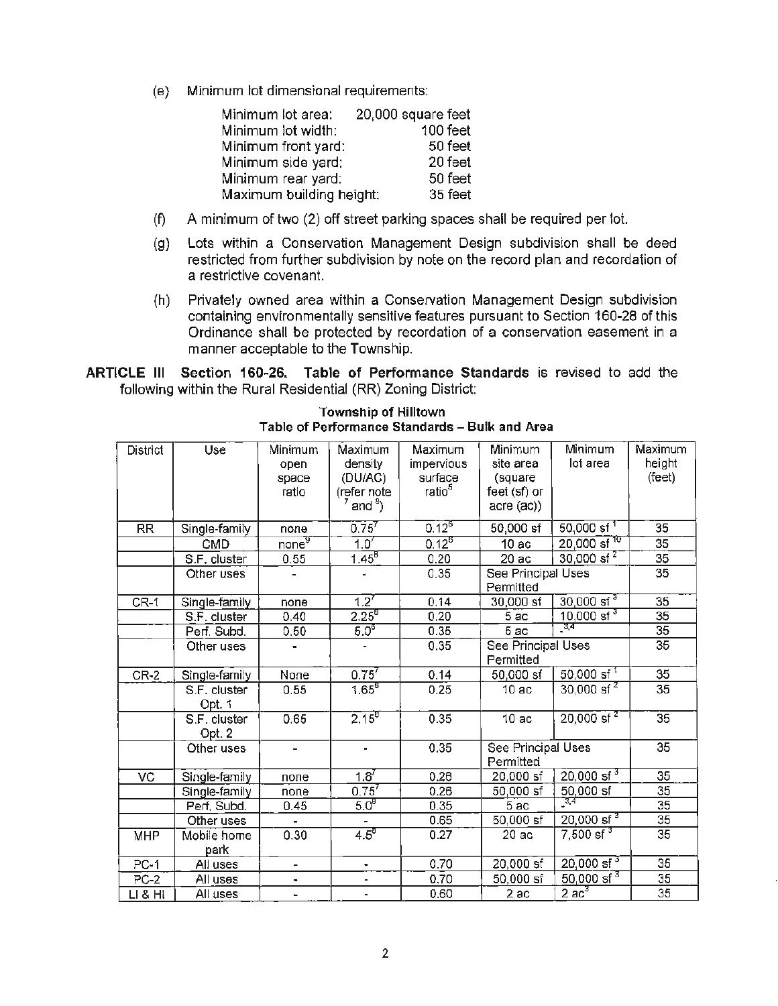(e) Minimum tot dimensional requirements:

| Minimum lot area:        | 20,000 square feet |
|--------------------------|--------------------|
| Minimum lot width:       | 100 feet           |
| Minimum front yard:      | 50 feet            |
| Minimum side yard:       | 20 feet            |
| Minimum rear yard:       | 50 feet            |
| Maximum building height: | 35 feet            |

- (f) A minimum of two (2) off street parking spaces shall be required per lot.
- (g) Lots within a Conservation Management Design subdivision shall be deed restricted from further subdivision by note on the record plan and recordation of a restrictive covenant.
- (h) Privately owned area within a Conservation Management Design subdivision containing environmentally sensitive features pursuant to Section 160-28 of this Ordinance shall be protected by recordation of a conservation easement in a manner acceptable to the Township.

**ARTICLE** Ill **Section 160-26. Table of Performance Standards** is revised to add the following within the Rural Residential (RR) Zoning District:

| District          | Use           | Minimum<br>open   | Maximum<br>density       | Maximum<br>impervious | Minimum<br>site area | Minimum<br>lot area            | Maximum<br>height |
|-------------------|---------------|-------------------|--------------------------|-----------------------|----------------------|--------------------------------|-------------------|
|                   |               | space             | (DU/AC)                  | surface               | (square              |                                | (feet)            |
|                   |               | ratio             | (refer note              | ratio <sup>5</sup>    | feet (sf) or         |                                |                   |
|                   |               |                   | $^7$ and $^8$ )          |                       | $accre$ $(ac)$ )     |                                |                   |
| <b>RR</b>         | Single-family | none              | $0.75^{7}$               | $0.12^{6}$            | $50,000$ sf          | $50,000$ sf <sup>1</sup>       | 35                |
|                   | <b>CMD</b>    | none <sup>3</sup> | $1.0^{7}$                | $0.12^{6}$            | 10ac                 | $20,000$ sf <sup>10</sup>      | 35                |
|                   | S.F. cluster  | 0.55              | $1.45^{B}$               | 0.20                  | 20ac                 | $30,000$ sf <sup>2</sup>       | 35                |
|                   | Other uses    |                   | ٠                        | 0.35                  | See Principal Uses   |                                | 35                |
|                   |               |                   |                          |                       | Permitted            |                                |                   |
| $CR-1$            | Single-family | none              | $1.2^{7}$                | 0.14                  | 30,000 sf            | $30,000$ sf <sup>3</sup>       | 35                |
|                   | S.F. cluster  | 0.40              | $2.25^{8}$               | 0.20                  | 5ac                  | $10,000$ sf <sup>3</sup>       | $\overline{35}$   |
|                   | Perf. Subd.   | 0.50              | 5.0 <sup>8</sup>         | 0.35                  | 5 ac                 | _ত্ৰ                           | 35                |
|                   | Other uses    |                   |                          | 0.35                  | See Principal Uses   | 35                             |                   |
|                   |               |                   |                          |                       | Permitted            |                                |                   |
| $CR-2$            | Single-family | None              | $0.75^{7}$               | 0.14                  | $50,000$ sf          | $50,000$ sf <sup>1</sup>       | 35                |
|                   | S.F. cluster  | 0.55              | $1.65^{6}$               | 0.25                  | 10ac                 | $30,000$ sf <sup>2</sup>       | 35                |
|                   | Opt. 1        |                   |                          |                       |                      |                                |                   |
|                   | S.F. cluster  | 0.65              | $2.15^{g}$               | 0.35                  | 10ac                 | $20,000$ sf <sup>2</sup>       | 35                |
|                   | Opt. 2        |                   |                          |                       |                      |                                |                   |
|                   | Other uses    |                   | m                        | 0.35                  | See Principal Uses   |                                | 35                |
|                   |               |                   |                          |                       | Permitted            |                                |                   |
| VC                | Single-family | none              | $1.8^{7}$                | 0.26                  | 20,000 sf            | $20,000$ sf <sup>3</sup>       | 35                |
|                   | Single-family | none              | $0.75^{7}$               | 0.26                  | 50,000 sf            | $\frac{50,000 \text{ sf}}{34}$ | 35                |
|                   | Perf, Subd.   | 0.45              | 5.0 <sup>8</sup>         | 0.35                  | 5ac                  |                                | 35                |
|                   | Other uses    |                   | $\overline{\phantom{0}}$ | 0.65                  | 50,000 sf            | $20,000$ sf <sup>3</sup>       | 35                |
| <b>MHP</b>        | Mobile home   | 0.30              | $4.5^8$                  | 0.27                  | 20ac                 | $7,500$ sf <sup>3</sup>        | $\overline{35}$   |
|                   | park          |                   |                          |                       |                      |                                |                   |
| PC-1              | All uses      | -                 | ٠                        | 0.70                  | 20,000 sf            | $20,000$ sf <sup>3</sup>       | 35                |
| $\overline{PC}-2$ | All uses      | $\blacksquare$    | $\overline{\phantom{0}}$ | 0.70                  | 50,000 sf            | $50,000$ sf <sup>3</sup>       | 35                |
| LI & HI           | All uses      | -                 | $\overline{\phantom{a}}$ | 0.60                  | 2ac                  | $\overline{2}$ ac $^3$         | $\overline{35}$   |

**Township of Hilltown Table of Performance Standards** - **Bulk and Area**